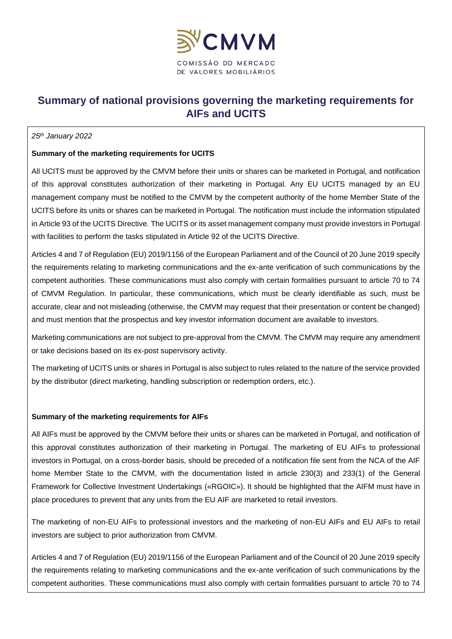

# **Summary of national provisions governing the marketing requirements for AIFs and UCITS**

#### *25th January 2022*

### **Summary of the marketing requirements for UCITS**

All UCITS must be approved by the CMVM before their units or shares can be marketed in Portugal, and notification of this approval constitutes authorization of their marketing in Portugal. Any EU UCITS managed by an EU management company must be notified to the CMVM by the competent authority of the home Member State of the UCITS before its units or shares can be marketed in Portugal. The notification must include the information stipulated in Article 93 of the UCITS Directive. The UCITS or its asset management company must provide investors in Portugal with facilities to perform the tasks stipulated in Article 92 of the UCITS Directive.

Articles 4 and 7 of Regulation (EU) 2019/1156 of the European Parliament and of the Council of 20 June 2019 specify the requirements relating to marketing communications and the ex-ante verification of such communications by the competent authorities. These communications must also comply with certain formalities pursuant to article 70 to 74 of CMVM Regulation. In particular, these communications, which must be clearly identifiable as such, must be accurate, clear and not misleading (otherwise, the CMVM may request that their presentation or content be changed) and must mention that the prospectus and key investor information document are available to investors.

Marketing communications are not subject to pre-approval from the CMVM. The CMVM may require any amendment or take decisions based on its ex-post supervisory activity.

The marketing of UCITS units or shares in Portugal is also subject to rules related to the nature of the service provided by the distributor (direct marketing, handling subscription or redemption orders, etc.).

#### **Summary of the marketing requirements for AIFs**

All AIFs must be approved by the CMVM before their units or shares can be marketed in Portugal, and notification of this approval constitutes authorization of their marketing in Portugal. The marketing of EU AIFs to professional investors in Portugal, on a cross-border basis, should be preceded of a notification file sent from the NCA of the AIF home Member State to the CMVM, with the documentation listed in article 230(3) and 233(1) of the General Framework for Collective Investment Undertakings («RGOIC»). It should be highlighted that the AIFM must have in place procedures to prevent that any units from the EU AIF are marketed to retail investors.

The marketing of non-EU AIFs to professional investors and the marketing of non-EU AIFs and EU AIFs to retail investors are subject to prior authorization from CMVM.

Articles 4 and 7 of Regulation (EU) 2019/1156 of the European Parliament and of the Council of 20 June 2019 specify the requirements relating to marketing communications and the ex-ante verification of such communications by the competent authorities. These communications must also comply with certain formalities pursuant to article 70 to 74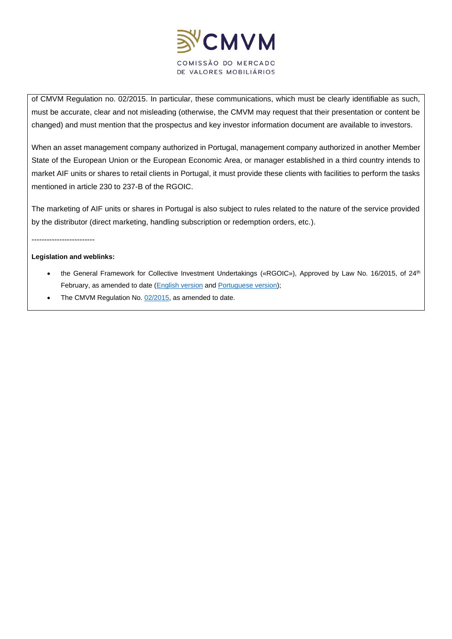

of CMVM Regulation no. 02/2015. In particular, these communications, which must be clearly identifiable as such, must be accurate, clear and not misleading (otherwise, the CMVM may request that their presentation or content be changed) and must mention that the prospectus and key investor information document are available to investors.

When an asset management company authorized in Portugal, management company authorized in another Member State of the European Union or the European Economic Area, or manager established in a third country intends to market AIF units or shares to retail clients in Portugal, it must provide these clients with facilities to perform the tasks mentioned in article 230 to 237-B of the RGOIC.

The marketing of AIF units or shares in Portugal is also subject to rules related to the nature of the service provided by the distributor (direct marketing, handling subscription or redemption orders, etc.).

-------------------------

#### **Legislation and weblinks:**

- the General Framework for Collective Investment Undertakings («RGOIC»), Approved by Law No. 16/2015, of 24<sup>th</sup> February, as amended to date [\(English version](https://www.cmvm.pt/en/Legislacao/LegislacaoComplementar/OrganismosdeInvestimentoColetivo/Pages/RGOIC.aspx?v=) and [Portuguese version\)](https://www.cmvm.pt/pt/Legislacao/Legislacaonacional/Regulamentos/Pages/Reg_3_2020.aspx?v=);
- The CMVM Regulation No. [02/2015,](https://www.cmvm.pt/pt/Legislacao/Legislacaonacional/Regulamentos/Pages/Reg2015_2.aspx?v=) as amended to date.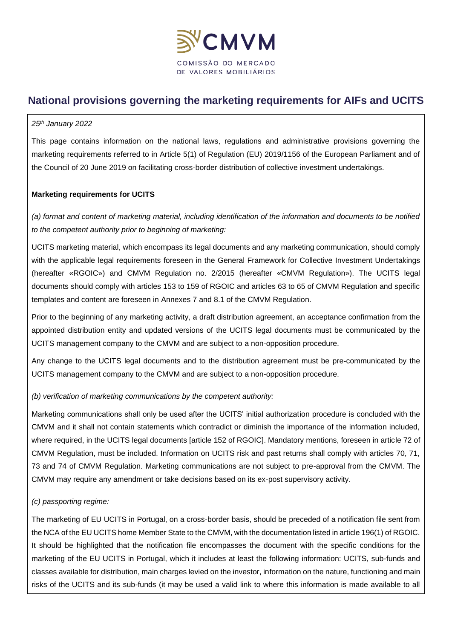

# **National provisions governing the marketing requirements for AIFs and UCITS**

#### *25th January 2022*

This page contains information on the national laws, regulations and administrative provisions governing the marketing requirements referred to in Article 5(1) of Regulation (EU) 2019/1156 of the European Parliament and of the Council of 20 June 2019 on facilitating cross-border distribution of collective investment undertakings.

# **Marketing requirements for UCITS**

*(a) format and content of marketing material, including identification of the information and documents to be notified to the competent authority prior to beginning of marketing:*

UCITS marketing material, which encompass its legal documents and any marketing communication, should comply with the applicable legal requirements foreseen in the General Framework for Collective Investment Undertakings (hereafter «RGOIC») and CMVM Regulation no. 2/2015 (hereafter «CMVM Regulation»). The UCITS legal documents should comply with articles 153 to 159 of RGOIC and articles 63 to 65 of CMVM Regulation and specific templates and content are foreseen in Annexes 7 and 8.1 of the CMVM Regulation.

Prior to the beginning of any marketing activity, a draft distribution agreement, an acceptance confirmation from the appointed distribution entity and updated versions of the UCITS legal documents must be communicated by the UCITS management company to the CMVM and are subject to a non-opposition procedure.

Any change to the UCITS legal documents and to the distribution agreement must be pre-communicated by the UCITS management company to the CMVM and are subject to a non-opposition procedure.

# *(b) verification of marketing communications by the competent authority:*

Marketing communications shall only be used after the UCITS' initial authorization procedure is concluded with the CMVM and it shall not contain statements which contradict or diminish the importance of the information included, where required, in the UCITS legal documents [article 152 of RGOIC]. Mandatory mentions, foreseen in article 72 of CMVM Regulation, must be included. Information on UCITS risk and past returns shall comply with articles 70, 71, 73 and 74 of CMVM Regulation. Marketing communications are not subject to pre-approval from the CMVM. The CMVM may require any amendment or take decisions based on its ex-post supervisory activity.

# *(c) passporting regime:*

The marketing of EU UCITS in Portugal, on a cross-border basis, should be preceded of a notification file sent from the NCA of the EU UCITS home Member State to the CMVM, with the documentation listed in article 196(1) of RGOIC. It should be highlighted that the notification file encompasses the document with the specific conditions for the marketing of the EU UCITS in Portugal, which it includes at least the following information: UCITS, sub-funds and classes available for distribution, main charges levied on the investor, information on the nature, functioning and main risks of the UCITS and its sub-funds (it may be used a valid link to where this information is made available to all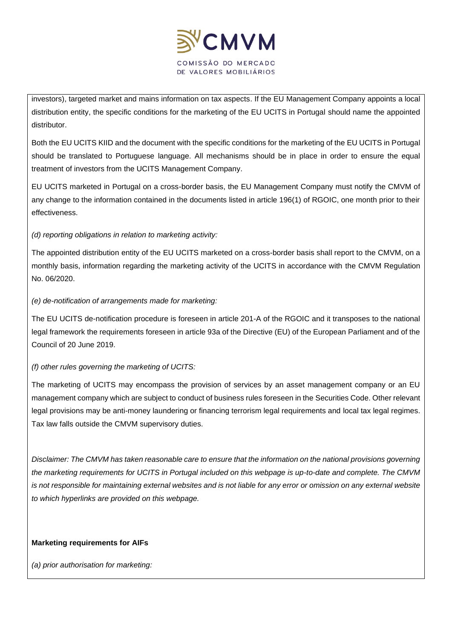

investors), targeted market and mains information on tax aspects. If the EU Management Company appoints a local distribution entity, the specific conditions for the marketing of the EU UCITS in Portugal should name the appointed distributor.

Both the EU UCITS KIID and the document with the specific conditions for the marketing of the EU UCITS in Portugal should be translated to Portuguese language. All mechanisms should be in place in order to ensure the equal treatment of investors from the UCITS Management Company.

EU UCITS marketed in Portugal on a cross-border basis, the EU Management Company must notify the CMVM of any change to the information contained in the documents listed in article 196(1) of RGOIC, one month prior to their effectiveness.

# *(d) reporting obligations in relation to marketing activity:*

The appointed distribution entity of the EU UCITS marketed on a cross-border basis shall report to the CMVM, on a monthly basis, information regarding the marketing activity of the UCITS in accordance with the CMVM Regulation No. 06/2020.

# *(e) de-notification of arrangements made for marketing:*

The EU UCITS de-notification procedure is foreseen in article 201-A of the RGOIC and it transposes to the national legal framework the requirements foreseen in article 93a of the Directive (EU) of the European Parliament and of the Council of 20 June 2019.

# *(f) other rules governing the marketing of UCITS:*

The marketing of UCITS may encompass the provision of services by an asset management company or an EU management company which are subject to conduct of business rules foreseen in the Securities Code. Other relevant legal provisions may be anti-money laundering or financing terrorism legal requirements and local tax legal regimes. Tax law falls outside the CMVM supervisory duties.

*Disclaimer: The CMVM has taken reasonable care to ensure that the information on the national provisions governing the marketing requirements for UCITS in Portugal included on this webpage is up-to-date and complete. The CMVM is not responsible for maintaining external websites and is not liable for any error or omission on any external website to which hyperlinks are provided on this webpage.*

# **Marketing requirements for AIFs**

*(a) prior authorisation for marketing:*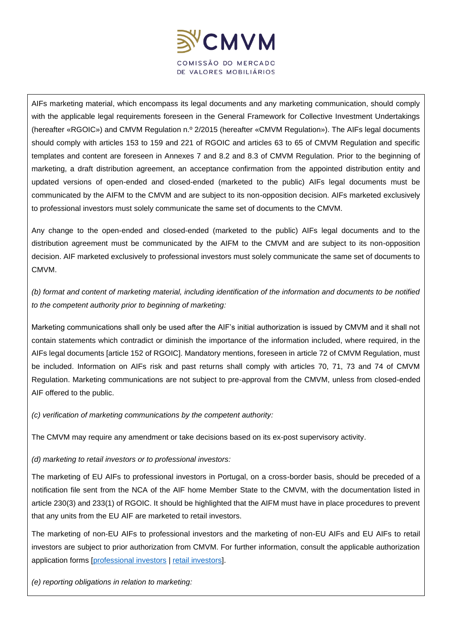

AIFs marketing material, which encompass its legal documents and any marketing communication, should comply with the applicable legal requirements foreseen in the General Framework for Collective Investment Undertakings (hereafter «RGOIC») and CMVM Regulation n.º 2/2015 (hereafter «CMVM Regulation»). The AIFs legal documents should comply with articles 153 to 159 and 221 of RGOIC and articles 63 to 65 of CMVM Regulation and specific templates and content are foreseen in Annexes 7 and 8.2 and 8.3 of CMVM Regulation. Prior to the beginning of marketing, a draft distribution agreement, an acceptance confirmation from the appointed distribution entity and updated versions of open-ended and closed-ended (marketed to the public) AIFs legal documents must be communicated by the AIFM to the CMVM and are subject to its non-opposition decision. AIFs marketed exclusively to professional investors must solely communicate the same set of documents to the CMVM.

Any change to the open-ended and closed-ended (marketed to the public) AIFs legal documents and to the distribution agreement must be communicated by the AIFM to the CMVM and are subject to its non-opposition decision. AIF marketed exclusively to professional investors must solely communicate the same set of documents to CMVM.

*(b) format and content of marketing material, including identification of the information and documents to be notified to the competent authority prior to beginning of marketing:*

Marketing communications shall only be used after the AIF's initial authorization is issued by CMVM and it shall not contain statements which contradict or diminish the importance of the information included, where required, in the AIFs legal documents [article 152 of RGOIC]. Mandatory mentions, foreseen in article 72 of CMVM Regulation, must be included. Information on AIFs risk and past returns shall comply with articles 70, 71, 73 and 74 of CMVM Regulation. Marketing communications are not subject to pre-approval from the CMVM, unless from closed-ended AIF offered to the public.

*(c) verification of marketing communications by the competent authority:*

The CMVM may require any amendment or take decisions based on its ex-post supervisory activity.

*(d) marketing to retail investors or to professional investors:*

The marketing of EU AIFs to professional investors in Portugal, on a cross-border basis, should be preceded of a notification file sent from the NCA of the AIF home Member State to the CMVM, with the documentation listed in article 230(3) and 233(1) of RGOIC. It should be highlighted that the AIFM must have in place procedures to prevent that any units from the EU AIF are marketed to retail investors.

The marketing of non-EU AIFs to professional investors and the marketing of non-EU AIFs and EU AIFs to retail investors are subject to prior authorization from CMVM. For further information, consult the applicable authorization application forms [\[professional investors](https://www.cmvm.pt/pt/SDI/DossierDeRegisto/oic/Documents/Autoriza%c3%a7%c3%a3o%20da%20comercializa%c3%a7%c3%a3o%20em%20Portugal%20junto%20de%20investidores%20profissionais%20de%20OIA%20de%20pa%c3%ads%20terceiro%20ou%20UE.docx) | [retail investors\]](https://www.cmvm.pt/pt/SDI/DossierDeRegisto/oic/Documents/Autoriza%c3%a7%c3%a3o%20para%20comercializa%c3%a7%c3%a3o%20junto%20de%20investidores%20n%c3%a3o%20profissionais%20de%20OIA%20da%20UE%20ou%20de%20pa%c3%ads%20terceiro.docx).

*(e) reporting obligations in relation to marketing:*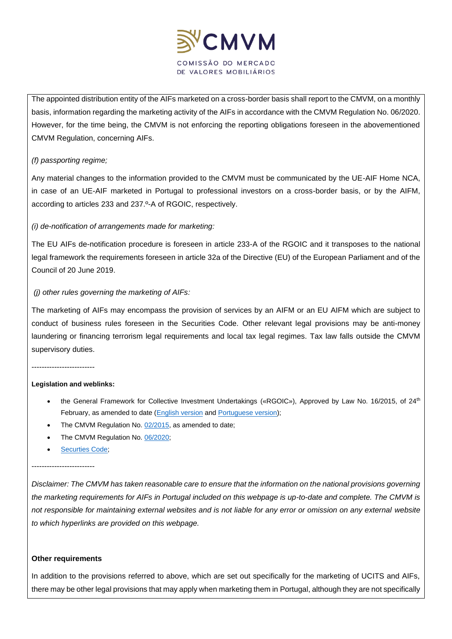

The appointed distribution entity of the AIFs marketed on a cross-border basis shall report to the CMVM, on a monthly basis, information regarding the marketing activity of the AIFs in accordance with the CMVM Regulation No. 06/2020. However, for the time being, the CMVM is not enforcing the reporting obligations foreseen in the abovementioned CMVM Regulation, concerning AIFs.

# *(f) passporting regime;*

Any material changes to the information provided to the CMVM must be communicated by the UE-AIF Home NCA, in case of an UE-AIF marketed in Portugal to professional investors on a cross-border basis, or by the AIFM, according to articles 233 and 237.º-A of RGOIC, respectively.

#### *(i) de-notification of arrangements made for marketing:*

The EU AIFs de-notification procedure is foreseen in article 233-A of the RGOIC and it transposes to the national legal framework the requirements foreseen in article 32a of the Directive (EU) of the European Parliament and of the Council of 20 June 2019.

#### *(j) other rules governing the marketing of AIFs:*

The marketing of AIFs may encompass the provision of services by an AIFM or an EU AIFM which are subject to conduct of business rules foreseen in the Securities Code. Other relevant legal provisions may be anti-money laundering or financing terrorism legal requirements and local tax legal regimes. Tax law falls outside the CMVM supervisory duties.

-------------------------

#### **Legislation and weblinks:**

- the General Framework for Collective Investment Undertakings («RGOIC»), Approved by Law No. 16/2015, of 24<sup>th</sup> February, as amended to date [\(English version](https://www.cmvm.pt/en/Legislacao/LegislacaoComplementar/OrganismosdeInvestimentoColetivo/Pages/RGOIC.aspx?v=) and [Portuguese version\)](https://www.cmvm.pt/pt/Legislacao/Legislacaonacional/Regulamentos/Pages/Reg_3_2020.aspx?v=);
- The CMVM Regulation No. [02/2015,](https://www.cmvm.pt/pt/Legislacao/Legislacaonacional/Regulamentos/Pages/Reg2015_2.aspx?v=) as amended to date;
- The CMVM Regulation No. [06/2020;](https://www.cmvm.pt/pt/Legislacao/Legislacaonacional/Regulamentos/Documents/Regulamento%20da%20CMVM%206_2020.pdf)
- Securties Code:

#### -------------------------

*Disclaimer: The CMVM has taken reasonable care to ensure that the information on the national provisions governing the marketing requirements for AIFs in Portugal included on this webpage is up-to-date and complete. The CMVM is not responsible for maintaining external websites and is not liable for any error or omission on any external website to which hyperlinks are provided on this webpage.*

#### **Other requirements**

In addition to the provisions referred to above, which are set out specifically for the marketing of UCITS and AIFs, there may be other legal provisions that may apply when marketing them in Portugal, although they are not specifically